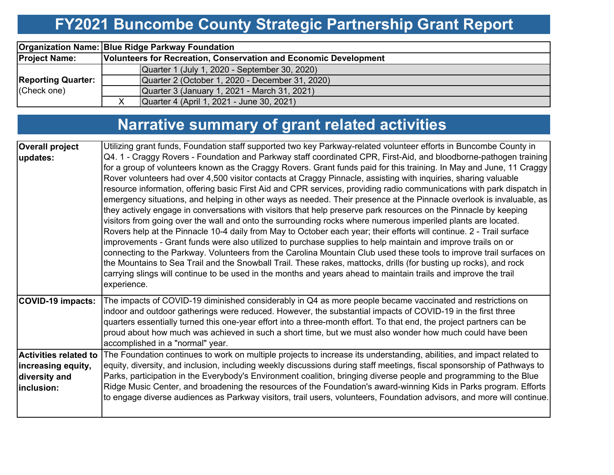# **FY2021 Buncombe County Strategic Partnership Grant Report**

|                           | <b>Organization Name: Blue Ridge Parkway Foundation</b>          |  |  |  |  |  |  |  |
|---------------------------|------------------------------------------------------------------|--|--|--|--|--|--|--|
| <b>Project Name:</b>      | Volunteers for Recreation, Conservation and Economic Development |  |  |  |  |  |  |  |
|                           | Quarter 1 (July 1, 2020 - September 30, 2020)                    |  |  |  |  |  |  |  |
| <b>Reporting Quarter:</b> | Quarter 2 (October 1, 2020 - December 31, 2020)                  |  |  |  |  |  |  |  |
| (Check one)               | Quarter 3 (January 1, 2021 - March 31, 2021)                     |  |  |  |  |  |  |  |
|                           | Quarter 4 (April 1, 2021 - June 30, 2021)                        |  |  |  |  |  |  |  |

# **Narrative summary of grant related activities**

| <b>Overall project</b>       | Utilizing grant funds, Foundation staff supported two key Parkway-related volunteer efforts in Buncombe County in                                                                                                                                                                                                                                                                                                                                                                                                                                                                                                                                                                                                                                                                                                                                                                                                                                                                                                                                                                                                                                                                                                                                                                                                                                                                                                                                                        |
|------------------------------|--------------------------------------------------------------------------------------------------------------------------------------------------------------------------------------------------------------------------------------------------------------------------------------------------------------------------------------------------------------------------------------------------------------------------------------------------------------------------------------------------------------------------------------------------------------------------------------------------------------------------------------------------------------------------------------------------------------------------------------------------------------------------------------------------------------------------------------------------------------------------------------------------------------------------------------------------------------------------------------------------------------------------------------------------------------------------------------------------------------------------------------------------------------------------------------------------------------------------------------------------------------------------------------------------------------------------------------------------------------------------------------------------------------------------------------------------------------------------|
| updates:                     | Q4. 1 - Craggy Rovers - Foundation and Parkway staff coordinated CPR, First-Aid, and bloodborne-pathogen training<br>for a group of volunteers known as the Craggy Rovers. Grant funds paid for this training. In May and June, 11 Craggy<br>Rover volunteers had over 4,500 visitor contacts at Craggy Pinnacle, assisting with inquiries, sharing valuable<br>resource information, offering basic First Aid and CPR services, providing radio communications with park dispatch in<br>emergency situations, and helping in other ways as needed. Their presence at the Pinnacle overlook is invaluable, as<br>they actively engage in conversations with visitors that help preserve park resources on the Pinnacle by keeping<br>visitors from going over the wall and onto the surrounding rocks where numerous imperiled plants are located.<br>Rovers help at the Pinnacle 10-4 daily from May to October each year; their efforts will continue. 2 - Trail surface<br>improvements - Grant funds were also utilized to purchase supplies to help maintain and improve trails on or<br>connecting to the Parkway. Volunteers from the Carolina Mountain Club used these tools to improve trail surfaces on<br>the Mountains to Sea Trail and the Snowball Trail. These rakes, mattocks, drills (for busting up rocks), and rock<br>carrying slings will continue to be used in the months and years ahead to maintain trails and improve the trail<br>experience. |
| <b>COVID-19 impacts:</b>     | The impacts of COVID-19 diminished considerably in Q4 as more people became vaccinated and restrictions on<br>indoor and outdoor gatherings were reduced. However, the substantial impacts of COVID-19 in the first three<br>quarters essentially turned this one-year effort into a three-month effort. To that end, the project partners can be<br>proud about how much was achieved in such a short time, but we must also wonder how much could have been<br>accomplished in a "normal" year.                                                                                                                                                                                                                                                                                                                                                                                                                                                                                                                                                                                                                                                                                                                                                                                                                                                                                                                                                                        |
| <b>Activities related to</b> | The Foundation continues to work on multiple projects to increase its understanding, abilities, and impact related to                                                                                                                                                                                                                                                                                                                                                                                                                                                                                                                                                                                                                                                                                                                                                                                                                                                                                                                                                                                                                                                                                                                                                                                                                                                                                                                                                    |
| increasing equity,           | equity, diversity, and inclusion, including weekly discussions during staff meetings, fiscal sponsorship of Pathways to                                                                                                                                                                                                                                                                                                                                                                                                                                                                                                                                                                                                                                                                                                                                                                                                                                                                                                                                                                                                                                                                                                                                                                                                                                                                                                                                                  |
| diversity and                | Parks, participation in the Everybody's Environment coalition, bringing diverse people and programming to the Blue                                                                                                                                                                                                                                                                                                                                                                                                                                                                                                                                                                                                                                                                                                                                                                                                                                                                                                                                                                                                                                                                                                                                                                                                                                                                                                                                                       |
| inclusion:                   | Ridge Music Center, and broadening the resources of the Foundation's award-winning Kids in Parks program. Efforts                                                                                                                                                                                                                                                                                                                                                                                                                                                                                                                                                                                                                                                                                                                                                                                                                                                                                                                                                                                                                                                                                                                                                                                                                                                                                                                                                        |
|                              | to engage diverse audiences as Parkway visitors, trail users, volunteers, Foundation advisors, and more will continue.                                                                                                                                                                                                                                                                                                                                                                                                                                                                                                                                                                                                                                                                                                                                                                                                                                                                                                                                                                                                                                                                                                                                                                                                                                                                                                                                                   |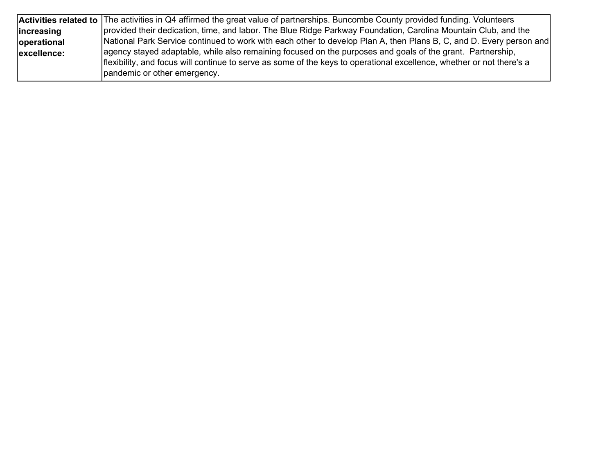|             | Activities related to The activities in Q4 affirmed the great value of partnerships. Buncombe County provided funding. Volunteers |
|-------------|-----------------------------------------------------------------------------------------------------------------------------------|
| lincreasing | provided their dedication, time, and labor. The Blue Ridge Parkway Foundation, Carolina Mountain Club, and the                    |
| operational | [National Park Service continued to work with each other to develop Plan A, then Plans B, C, and D. Every person and              |
| excellence: | agency stayed adaptable, while also remaining focused on the purposes and goals of the grant. Partnership,                        |
|             | flexibility, and focus will continue to serve as some of the keys to operational excellence, whether or not there's a             |
|             | pandemic or other emergency.                                                                                                      |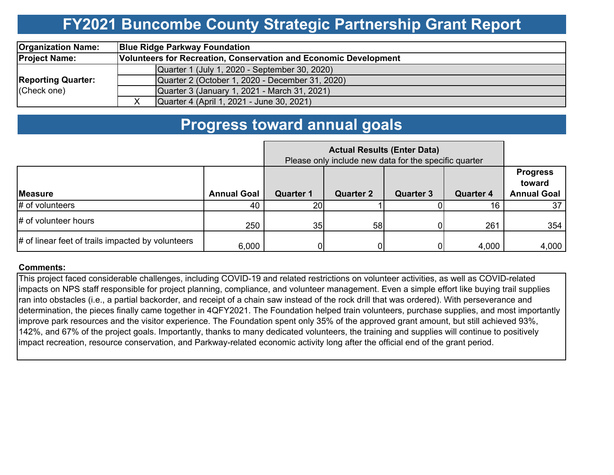## **FY2021 Buncombe County Strategic Partnership Grant Report**

| <b>Organization Name:</b> |                                                                  | <b>Blue Ridge Parkway Foundation</b>            |  |  |  |  |  |  |  |
|---------------------------|------------------------------------------------------------------|-------------------------------------------------|--|--|--|--|--|--|--|
| <b>Project Name:</b>      | Volunteers for Recreation, Conservation and Economic Development |                                                 |  |  |  |  |  |  |  |
|                           |                                                                  | Quarter 1 (July 1, 2020 - September 30, 2020)   |  |  |  |  |  |  |  |
| <b>Reporting Quarter:</b> |                                                                  | Quarter 2 (October 1, 2020 - December 31, 2020) |  |  |  |  |  |  |  |
| (Check one)               |                                                                  | Quarter 3 (January 1, 2021 - March 31, 2021)    |  |  |  |  |  |  |  |
|                           |                                                                  | Quarter 4 (April 1, 2021 - June 30, 2021)       |  |  |  |  |  |  |  |

### **Progress toward annual goals**

|                                                   | Please only include new data for the specific quarter |                  |                  |                  |                  |                                                 |  |
|---------------------------------------------------|-------------------------------------------------------|------------------|------------------|------------------|------------------|-------------------------------------------------|--|
| <b>Measure</b>                                    | <b>Annual Goal</b>                                    | <b>Quarter 1</b> | <b>Quarter 2</b> | <b>Quarter 3</b> | <b>Quarter 4</b> | <b>Progress</b><br>toward<br><b>Annual Goal</b> |  |
| $#$ of volunteers                                 | 40                                                    | 20 <sub>1</sub>  |                  |                  |                  | 37                                              |  |
| # of volunteer hours                              | 250                                                   | 35               | 58               |                  | 261              | 354                                             |  |
| # of linear feet of trails impacted by volunteers | 6,000                                                 |                  |                  |                  | 4,000            | 4,000                                           |  |

#### **Comments:**

This project faced considerable challenges, including COVID-19 and related restrictions on volunteer activities, as well as COVID-related impacts on NPS staff responsible for project planning, compliance, and volunteer management. Even a simple effort like buying trail supplies ran into obstacles (i.e., a partial backorder, and receipt of a chain saw instead of the rock drill that was ordered). With perseverance and determination, the pieces finally came together in 4QFY2021. The Foundation helped train volunteers, purchase supplies, and most importantly improve park resources and the visitor experience. The Foundation spent only 35% of the approved grant amount, but still achieved 93%, 142%, and 67% of the project goals. Importantly, thanks to many dedicated volunteers, the training and supplies will continue to positively impact recreation, resource conservation, and Parkway-related economic activity long after the official end of the grant period.